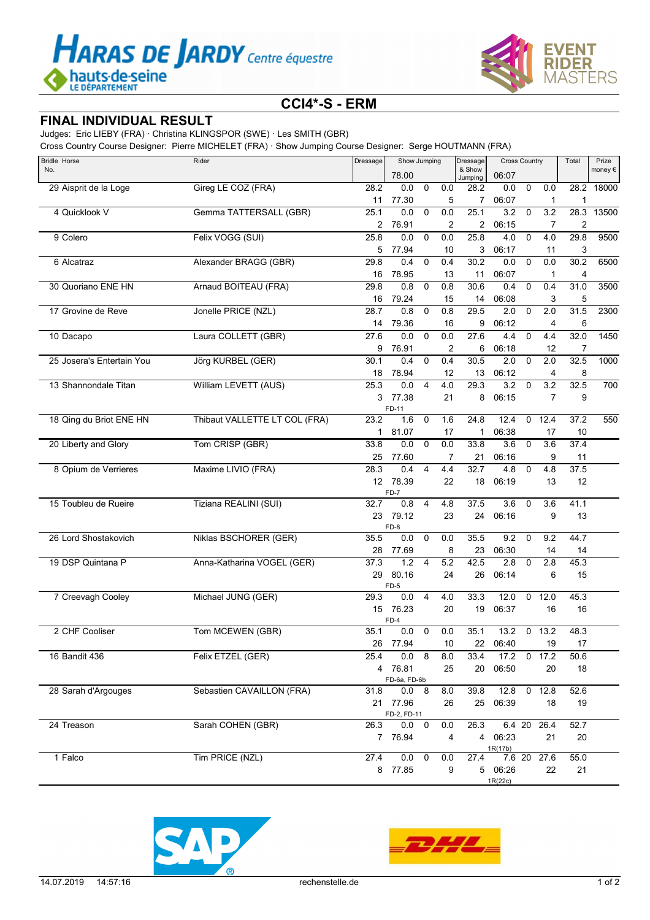



## **CCI4\*-S - ERM**

## **FINAL INDIVIDUAL RESULT**

Judges: Eric LIEBY (FRA) · Christina KLINGSPOR (SWE) · Les SMITH (GBR)

Cross Country Course Designer: Pierre MICHELET (FRA) · Show Jumping Course Designer: Serge HOUTMANN (FRA)

| Bridle Horse              | Rider                         | Dressage     | Show Jumping            |                |     | Dressage          | <b>Cross Country</b> |                |                  | Total          | Prize      |
|---------------------------|-------------------------------|--------------|-------------------------|----------------|-----|-------------------|----------------------|----------------|------------------|----------------|------------|
| No.                       |                               |              | 78.00                   |                |     | & Show<br>Jumping | 06:07                |                |                  |                | money€     |
| 29 Aisprit de la Loge     | Gireg LE COZ (FRA)            | 28.2         | 0.0                     | $\mathbf 0$    | 0.0 | 28.2              | 0.0                  | $\mathbf 0$    | 0.0              |                | 28.2 18000 |
|                           |                               | 11           | 77.30                   |                | 5   | $\overline{7}$    | 06:07                |                | $\mathbf{1}$     | $\mathbf{1}$   |            |
| 4 Quicklook V             | Gemma TATTERSALL (GBR)        | 25.1         | 0.0                     | $\mathbf 0$    | 0.0 | 25.1              | 3.2                  | $\mathbf 0$    | $\overline{3.2}$ | 28.3           | 13500      |
|                           |                               | 2            | 76.91                   |                | 2   | 2                 | 06:15                |                | 7                | $\overline{2}$ |            |
| 9 Colero                  | Felix VOGG (SUI)              | 25.8         | 0.0                     | $\mathbf 0$    | 0.0 | 25.8              | 4.0                  | $\mathbf 0$    | 4.0              | 29.8           | 9500       |
|                           |                               | 5            | 77.94                   |                | 10  | 3                 | 06:17                |                | 11               | 3              |            |
| 6 Alcatraz                | Alexander BRAGG (GBR)         | 29.8         | 0.4                     | 0              | 0.4 | 30.2              | 0.0                  | 0              | 0.0              | 30.2           | 6500       |
|                           |                               | 16           | 78.95                   |                | 13  | 11                | 06:07                |                | 1                | 4              |            |
| 30 Quoriano ENE HN        | Arnaud BOITEAU (FRA)          | 29.8         | 0.8                     | $\mathbf 0$    | 0.8 | 30.6              | 0.4                  | $\mathbf 0$    | 0.4              | 31.0           | 3500       |
|                           |                               | 16           | 79.24                   |                | 15  | 14                | 06:08                |                | 3                | 5              |            |
| 17 Grovine de Reve        | Jonelle PRICE (NZL)           | 28.7         | 0.8                     | $\mathbf 0$    | 0.8 | 29.5              | 2.0                  | $\mathbf 0$    | 2.0              | 31.5           | 2300       |
|                           |                               | 14           | 79.36                   |                | 16  | 9                 | 06:12                |                | 4                | 6              |            |
| 10 Dacapo                 | Laura COLLETT (GBR)           | 27.6         | 0.0                     | $\mathbf 0$    | 0.0 | 27.6              | 4.4                  | $\mathbf 0$    | 4.4              | 32.0           | 1450       |
|                           |                               | 9            | 76.91                   |                | 2   | 6                 | 06:18                |                | 12               | 7              |            |
| 25 Josera's Entertain You | Jörg KURBEL (GER)             | 30.1         | 0.4                     | $\Omega$       | 0.4 | 30.5              | $\overline{2.0}$     | $\mathbf 0$    | 2.0              | 32.5           | 1000       |
|                           |                               | 18           | 78.94                   |                | 12  | 13                | 06:12                |                | 4                | 8              |            |
| 13 Shannondale Titan      | William LEVETT (AUS)          | 25.3         | 0.0                     | $\overline{4}$ | 4.0 | 29.3              | 3.2                  | $\mathbf 0$    | 3.2              | 32.5           | 700        |
|                           |                               | 3            | 77.38                   |                | 21  | 8                 | 06:15                |                | $\overline{7}$   | 9              |            |
|                           |                               |              | FD-11                   |                |     |                   |                      |                |                  |                |            |
| 18 Qing du Briot ENE HN   | Thibaut VALLETTE LT COL (FRA) | 23.2         | 1.6                     | 0              | 1.6 | 24.8              | 12.4                 | 0              | 12.4             | 37.2           | 550        |
|                           |                               | $\mathbf{1}$ | 81.07                   |                | 17  | 1                 | 06:38                |                | 17               | 10             |            |
| 20 Liberty and Glory      | Tom CRISP (GBR)               | 33.8         | 0.0                     | $\mathbf 0$    | 0.0 | 33.8              | 3.6                  | $\mathbf 0$    | 3.6              | 37.4           |            |
|                           |                               | 25           | 77.60                   |                | 7   | 21                | 06:16                |                | 9                | 11             |            |
| 8 Opium de Verrieres      | Maxime LIVIO (FRA)            | 28.3         | 0.4                     | 4              | 4.4 | 32.7              | 4.8                  | 0              | 4.8              | 37.5           |            |
|                           |                               |              | 12 78.39                |                | 22  | 18                | 06:19                |                | 13               | 12             |            |
|                           |                               |              | $FD-7$                  |                |     |                   |                      |                |                  |                |            |
| 15 Toubleu de Rueire      | Tiziana REALINI (SUI)         | 32.7         | 0.8                     | $\overline{4}$ | 4.8 | 37.5              | 3.6                  | $\mathbf 0$    | 3.6              | 41.1           |            |
|                           |                               | 23           | 79.12<br>FD-8           |                | 23  | 24                | 06:16                |                | 9                | 13             |            |
| 26 Lord Shostakovich      | Niklas BSCHORER (GER)         | 35.5         | 0.0                     | 0              | 0.0 | 35.5              | 9.2                  | $\mathbf 0$    | 9.2              | 44.7           |            |
|                           |                               | 28           | 77.69                   |                | 8   | 23                | 06:30                |                | 14               | 14             |            |
| 19 DSP Quintana P         | Anna-Katharina VOGEL (GER)    | 37.3         | 1.2                     | $\overline{4}$ | 5.2 | 42.5              | 2.8                  | 0              | 2.8              | 45.3           |            |
|                           |                               | 29           | 80.16                   |                | 24  | 26                | 06:14                |                | 6                | 15             |            |
|                           |                               |              | $FD-5$                  |                |     |                   |                      |                |                  |                |            |
| 7 Creevagh Cooley         | Michael JUNG (GER)            | 29.3         | 0.0                     | 4              | 4.0 | 33.3              | 12.0                 | 0              | 12.0             | 45.3           |            |
|                           |                               |              | 15 76.23                |                | 20  | 19                | 06:37                |                | 16               | 16             |            |
|                           |                               |              | FD-4                    |                |     |                   |                      |                |                  |                |            |
| 2 CHF Cooliser            | Tom MCEWEN (GBR)              | 35.1         | 0.0                     | $\mathbf 0$    | 0.0 | 35.1              | 13.2                 | $\overline{0}$ | 13.2             | 48.3           |            |
|                           |                               |              | 26 77.94                |                | 10  | 22                | 06:40                |                | 19               | 17             |            |
| 16 Bandit 436             | Felix ETZEL (GER)             | 25.4         | 0.0 8                   |                | 8.0 | 33.4              | 17.2                 |                | $0$ 17.2         | 50.6           |            |
|                           |                               |              | 4 76.81                 |                | 25  | 20                | 06:50                |                | 20               | 18             |            |
|                           |                               |              | FD-6a, FD-6b            |                |     |                   |                      |                |                  |                |            |
| 28 Sarah d'Argouges       | Sebastien CAVAILLON (FRA)     | 31.8         | 0.0 8                   |                | 8.0 | 39.8              | 12.8                 |                | $0$ 12.8         | 52.6           |            |
|                           |                               |              | 21 77.96<br>FD-2, FD-11 |                | 26  | 25                | 06:39                |                | 18               | 19             |            |
| 24 Treason                | Sarah COHEN (GBR)             | 26.3         | 0.0                     | 0              | 0.0 | 26.3              | 6.4 20               |                | 26.4             | 52.7           |            |
|                           |                               |              | 7 76.94                 |                | 4   |                   | 4 06:23              |                | 21               | 20             |            |
|                           |                               |              |                         |                |     |                   | 1R(17b)              |                |                  |                |            |
| 1 Falco                   | Tim PRICE (NZL)               | 27.4         | 0.0                     | $\mathbf 0$    | 0.0 | 27.4              | 7.6 20               |                | 27.6             | 55.0           |            |
|                           |                               |              | 8 77.85                 |                | 9   |                   | 5 06:26              |                | 22               | 21             |            |
|                           |                               |              |                         |                |     |                   | 1R(22c)              |                |                  |                |            |